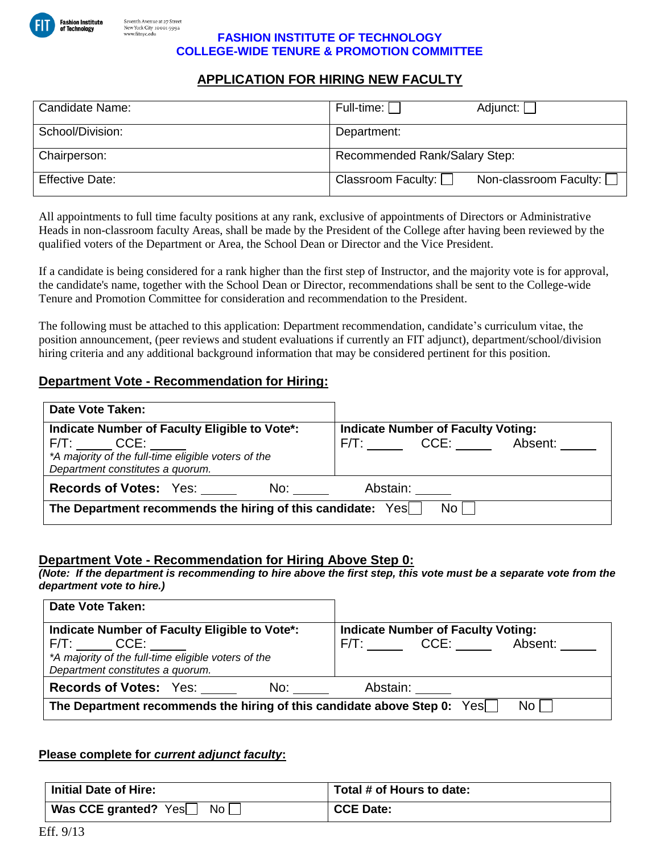

#### **FASHION INSTITUTE OF TECHNOLOGY COLLEGE-WIDE TENURE & PROMOTION COMMITTEE**

# **APPLICATION FOR HIRING NEW FACULTY**

| Candidate Name:        | Full-time:    <br>Adjunct:                                 |
|------------------------|------------------------------------------------------------|
| School/Division:       | Department:                                                |
| Chairperson:           | Recommended Rank/Salary Step:                              |
| <b>Effective Date:</b> | Non-classroom Faculty: $\Box$<br>Classroom Faculty: $\Box$ |

All appointments to full time faculty positions at any rank, exclusive of appointments of Directors or Administrative Heads in non-classroom faculty Areas, shall be made by the President of the College after having been reviewed by the qualified voters of the Department or Area, the School Dean or Director and the Vice President.

If a candidate is being considered for a rank higher than the first step of Instructor, and the majority vote is for approval, the candidate's name, together with the School Dean or Director, recommendations shall be sent to the College-wide Tenure and Promotion Committee for consideration and recommendation to the President.

The following must be attached to this application: Department recommendation, candidate's curriculum vitae, the position announcement, (peer reviews and student evaluations if currently an FIT adjunct), department/school/division hiring criteria and any additional background information that may be considered pertinent for this position.

## **Department Vote - Recommendation for Hiring:**

| <b>Date Vote Taken:</b>                                                                                                                                     |                                                                                         |  |
|-------------------------------------------------------------------------------------------------------------------------------------------------------------|-----------------------------------------------------------------------------------------|--|
| Indicate Number of Faculty Eligible to Vote*:<br>$F/T$ : $CCE$ :<br>*A majority of the full-time eligible voters of the<br>Department constitutes a quorum. | <b>Indicate Number of Faculty Voting:</b><br>$F/T$ : $CCE$ : $\qquad \qquad$<br>Absent: |  |
| <b>Records of Votes: Yes:</b><br>No:                                                                                                                        | Abstain:                                                                                |  |
| No L<br>The Department recommends the hiring of this candidate: Yes                                                                                         |                                                                                         |  |

## **Department Vote - Recommendation for Hiring Above Step 0:**

*(Note: If the department is recommending to hire above the first step, this vote must be a separate vote from the department vote to hire.)*

| <b>Date Vote Taken:</b>                                                                                    |                                           |  |
|------------------------------------------------------------------------------------------------------------|-------------------------------------------|--|
| Indicate Number of Faculty Eligible to Vote*:                                                              | <b>Indicate Number of Faculty Voting:</b> |  |
| $F/T$ : $CCE$ :<br>*A majority of the full-time eligible voters of the<br>Department constitutes a quorum. | F/T: CCE:<br>Absent:                      |  |
| <b>Records of Votes: Yes:</b><br>No:                                                                       | Abstain:                                  |  |
| No L<br>The Department recommends the hiring of this candidate above Step 0: Yes                           |                                           |  |

### **Please complete for** *current adjunct faculty***:**

| Initial Date of Hire:          | Total # of Hours to date: |
|--------------------------------|---------------------------|
| Was CCE granted? $Yes$<br>No l | CCE Date:                 |